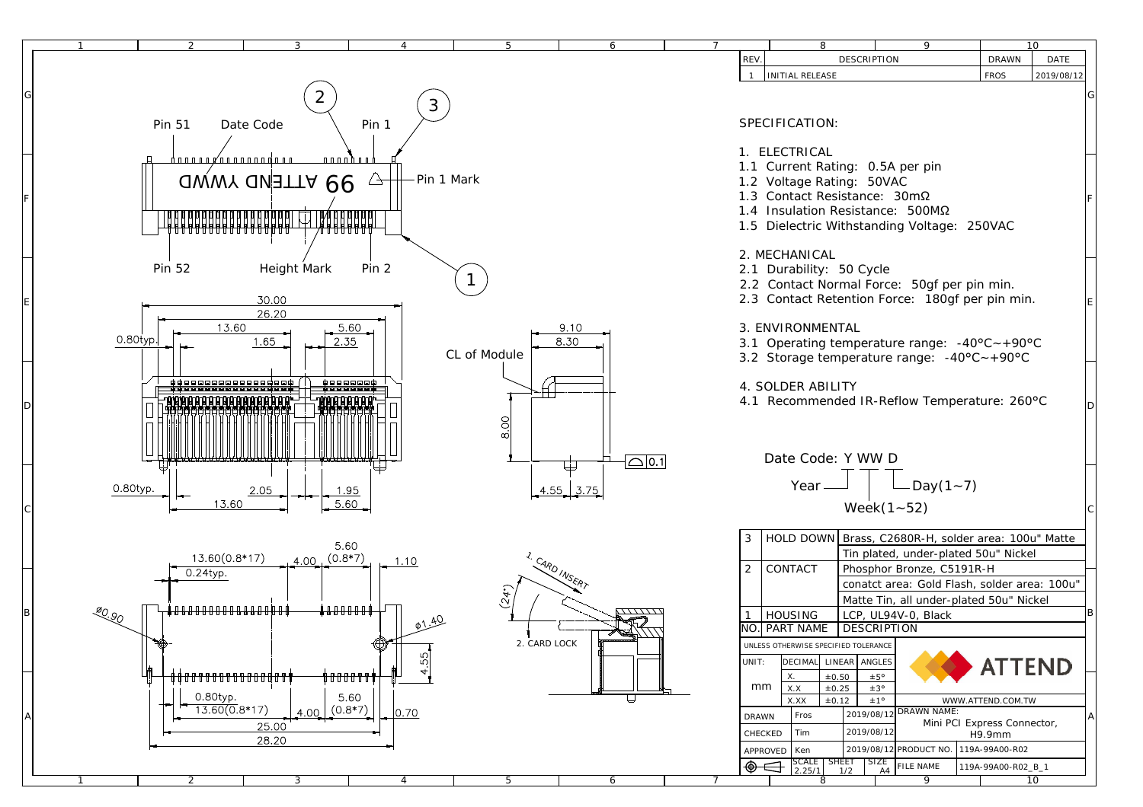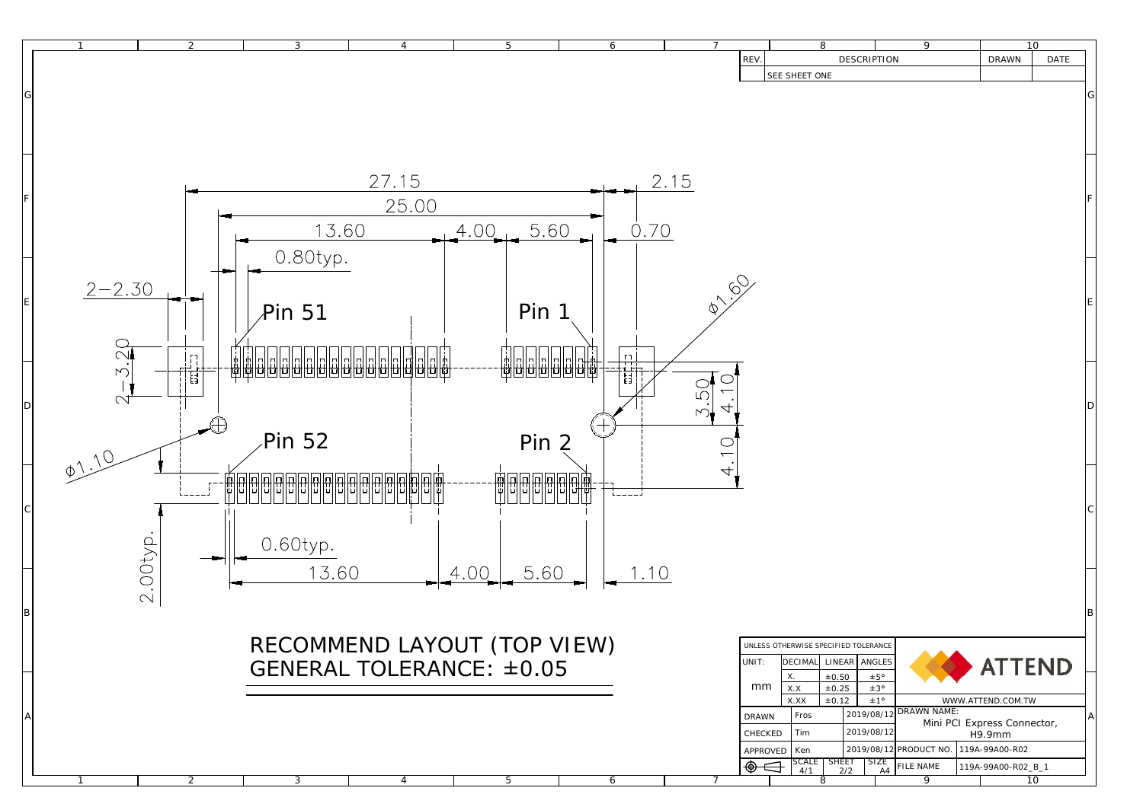